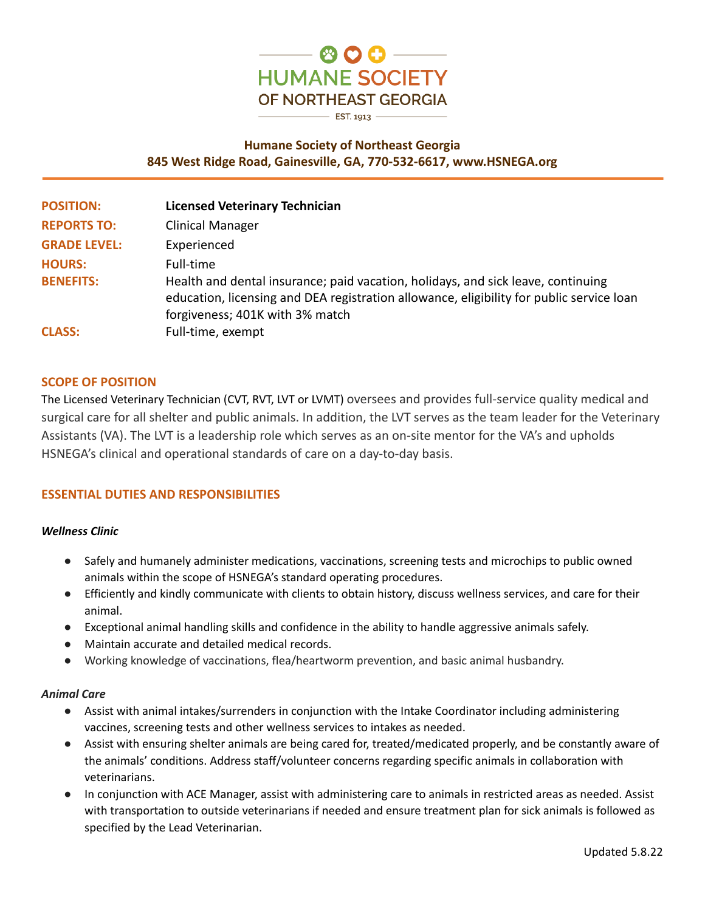

# **Humane Society of Northeast Georgia 845 West Ridge Road, Gainesville, GA, 770-532-6617, www.HSNEGA.org**

| <b>POSITION:</b>    | <b>Licensed Veterinary Technician</b>                                                                                                                                                                           |
|---------------------|-----------------------------------------------------------------------------------------------------------------------------------------------------------------------------------------------------------------|
| <b>REPORTS TO:</b>  | <b>Clinical Manager</b>                                                                                                                                                                                         |
| <b>GRADE LEVEL:</b> | Experienced                                                                                                                                                                                                     |
| <b>HOURS:</b>       | Full-time                                                                                                                                                                                                       |
| <b>BENEFITS:</b>    | Health and dental insurance; paid vacation, holidays, and sick leave, continuing<br>education, licensing and DEA registration allowance, eligibility for public service loan<br>forgiveness; 401K with 3% match |
| <b>CLASS:</b>       | Full-time, exempt                                                                                                                                                                                               |

### **SCOPE OF POSITION**

The Licensed Veterinary Technician (CVT, RVT, LVT or LVMT) oversees and provides full-service quality medical and surgical care for all shelter and public animals. In addition, the LVT serves as the team leader for the Veterinary Assistants (VA). The LVT is a leadership role which serves as an on-site mentor for the VA's and upholds HSNEGA's clinical and operational standards of care on a day-to-day basis.

### **ESSENTIAL DUTIES AND RESPONSIBILITIES**

#### *Wellness Clinic*

- Safely and humanely administer medications, vaccinations, screening tests and microchips to public owned animals within the scope of HSNEGA's standard operating procedures.
- Efficiently and kindly communicate with clients to obtain history, discuss wellness services, and care for their animal.
- Exceptional animal handling skills and confidence in the ability to handle aggressive animals safely.
- Maintain accurate and detailed medical records.
- Working knowledge of vaccinations, flea/heartworm prevention, and basic animal husbandry.

#### *Animal Care*

- Assist with animal intakes/surrenders in conjunction with the Intake Coordinator including administering vaccines, screening tests and other wellness services to intakes as needed.
- Assist with ensuring shelter animals are being cared for, treated/medicated properly, and be constantly aware of the animals' conditions. Address staff/volunteer concerns regarding specific animals in collaboration with veterinarians.
- In conjunction with ACE Manager, assist with administering care to animals in restricted areas as needed. Assist with transportation to outside veterinarians if needed and ensure treatment plan for sick animals is followed as specified by the Lead Veterinarian.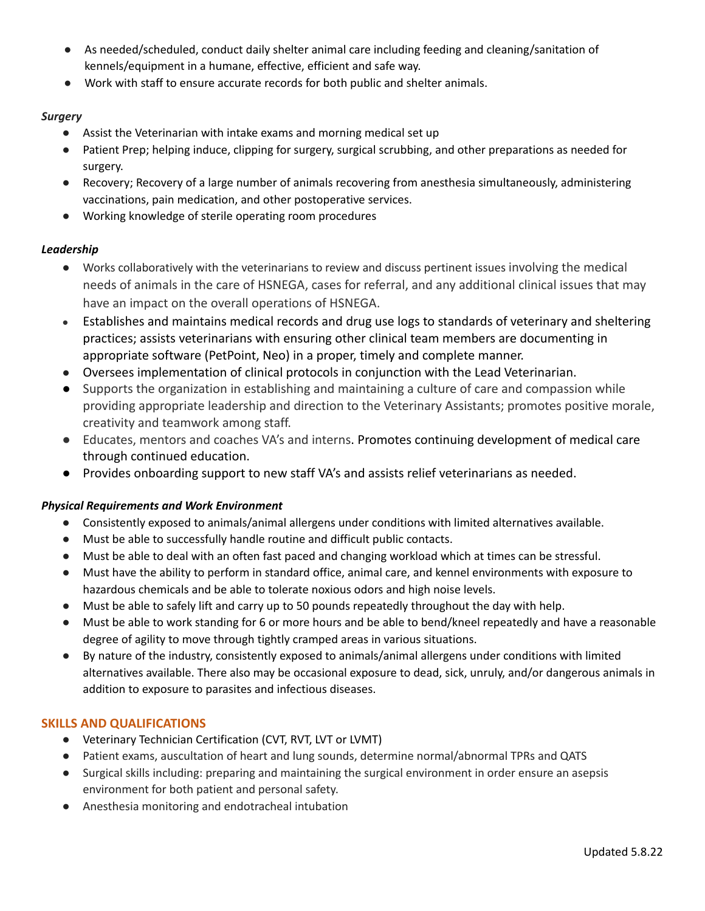- As needed/scheduled, conduct daily shelter animal care including feeding and cleaning/sanitation of kennels/equipment in a humane, effective, efficient and safe way.
- Work with staff to ensure accurate records for both public and shelter animals.

### *Surgery*

- Assist the Veterinarian with intake exams and morning medical set up
- Patient Prep; helping induce, clipping for surgery, surgical scrubbing, and other preparations as needed for surgery.
- Recovery; Recovery of a large number of animals recovering from anesthesia simultaneously, administering vaccinations, pain medication, and other postoperative services.
- Working knowledge of sterile operating room procedures

# *Leadership*

- Works collaboratively with the veterinarians to review and discuss pertinent issues involving the medical needs of animals in the care of HSNEGA, cases for referral, and any additional clinical issues that may have an impact on the overall operations of HSNEGA.
- Establishes and maintains medical records and drug use logs to standards of veterinary and sheltering practices; assists veterinarians with ensuring other clinical team members are documenting in appropriate software (PetPoint, Neo) in a proper, timely and complete manner.
- Oversees implementation of clinical protocols in conjunction with the Lead Veterinarian.
- Supports the organization in establishing and maintaining a culture of care and compassion while providing appropriate leadership and direction to the Veterinary Assistants; promotes positive morale, creativity and teamwork among staff.
- Educates, mentors and coaches VA's and interns. Promotes continuing development of medical care through continued education.
- Provides onboarding support to new staff VA's and assists relief veterinarians as needed.

# *Physical Requirements and Work Environment*

- Consistently exposed to animals/animal allergens under conditions with limited alternatives available.
- Must be able to successfully handle routine and difficult public contacts.
- Must be able to deal with an often fast paced and changing workload which at times can be stressful.
- Must have the ability to perform in standard office, animal care, and kennel environments with exposure to hazardous chemicals and be able to tolerate noxious odors and high noise levels.
- Must be able to safely lift and carry up to 50 pounds repeatedly throughout the day with help.
- Must be able to work standing for 6 or more hours and be able to bend/kneel repeatedly and have a reasonable degree of agility to move through tightly cramped areas in various situations.
- By nature of the industry, consistently exposed to animals/animal allergens under conditions with limited alternatives available. There also may be occasional exposure to dead, sick, unruly, and/or dangerous animals in addition to exposure to parasites and infectious diseases.

# **SKILLS AND QUALIFICATIONS**

- Veterinary Technician Certification (CVT, RVT, LVT or LVMT)
- Patient exams, auscultation of heart and lung sounds, determine normal/abnormal TPRs and QATS
- Surgical skills including: preparing and maintaining the surgical environment in order ensure an asepsis environment for both patient and personal safety.
- Anesthesia monitoring and endotracheal intubation